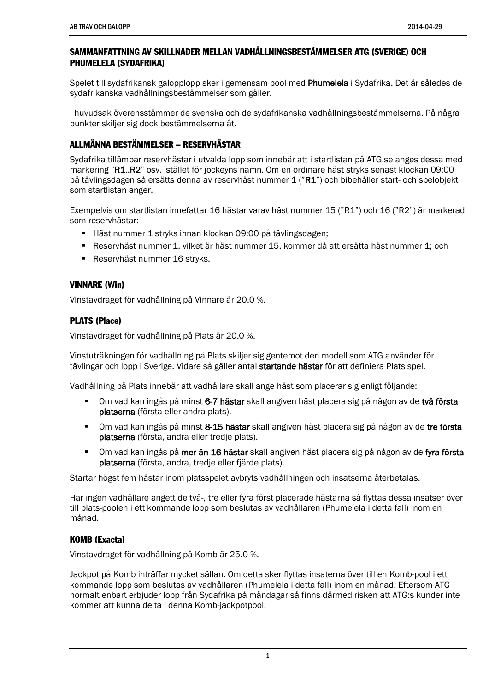#### SAMMANFATTNING AV SKILLNADER MELLAN VADHÅLLNINGSBESTÄMMELSER ATG (SVERIGE) OCH PHUMELELA (SYDAFRIKA)

Spelet till sydafrikansk galopplopp sker i gemensam pool med Phumelela i Sydafrika. Det är således de sydafrikanska vadhållningsbestämmelser som gäller.

I huvudsak överensstämmer de svenska och de sydafrikanska vadhållningsbestämmelserna. På några punkter skiljer sig dock bestämmelserna åt.

# ALLMÄNNA BESTÄMMELSER – RESERVHÄSTAR

Sydafrika tillämpar reservhästar i utvalda lopp som innebär att i startlistan på ATG.se anges dessa med markering "R1..R2" osv. istället för jockeyns namn. Om en ordinare häst stryks senast klockan 09:00 på tävlingsdagen så ersätts denna av reservhäst nummer 1 ("R1") och bibehåller start- och spelobjekt som startlistan anger.

Exempelvis om startlistan innefattar 16 hästar varav häst nummer 15 ("R1") och 16 ("R2") är markerad som reservhästar:

- Häst nummer 1 stryks innan klockan 09:00 på tävlingsdagen;
- Reservhäst nummer 1, vilket är häst nummer 15, kommer då att ersätta häst nummer 1; och
- Reservhäst nummer 16 stryks.

#### VINNARE (Win)

Vinstavdraget för vadhållning på Vinnare är 20.0 %.

### PLATS (Place)

Vinstavdraget för vadhållning på Plats är 20.0 %.

Vinstuträkningen för vadhållning på Plats skiljer sig gentemot den modell som ATG använder för tävlingar och lopp i Sverige. Vidare så gäller antal startande hästar för att definiera Plats spel.

Vadhållning på Plats innebär att vadhållare skall ange häst som placerar sig enligt följande:

- Om vad kan ingås på minst 6-7 hästar skall angiven häst placera sig på någon av de två första platserna (första eller andra plats).
- Om vad kan ingås på minst 8-15 hästar skall angiven häst placera sig på någon av de tre första platserna (första, andra eller tredje plats).
- Om vad kan ingås på mer än 16 hästar skall angiven häst placera sig på någon av de fyra första platserna (första, andra, tredje eller fjärde plats).

Startar högst fem hästar inom platsspelet avbryts vadhållningen och insatserna återbetalas.

Har ingen vadhållare angett de två-, tre eller fyra först placerade hästarna så flyttas dessa insatser över till plats-poolen i ett kommande lopp som beslutas av vadhållaren (Phumelela i detta fall) inom en månad.

### KOMB (Exacta)

Vinstavdraget för vadhållning på Komb är 25.0 %.

Jackpot på Komb inträffar mycket sällan. Om detta sker flyttas insaterna över till en Komb-pool i ett kommande lopp som beslutas av vadhållaren (Phumelela i detta fall) inom en månad. Eftersom ATG normalt enbart erbjuder lopp från Sydafrika på måndagar så finns därmed risken att ATG:s kunder inte kommer att kunna delta i denna Komb-jackpotpool.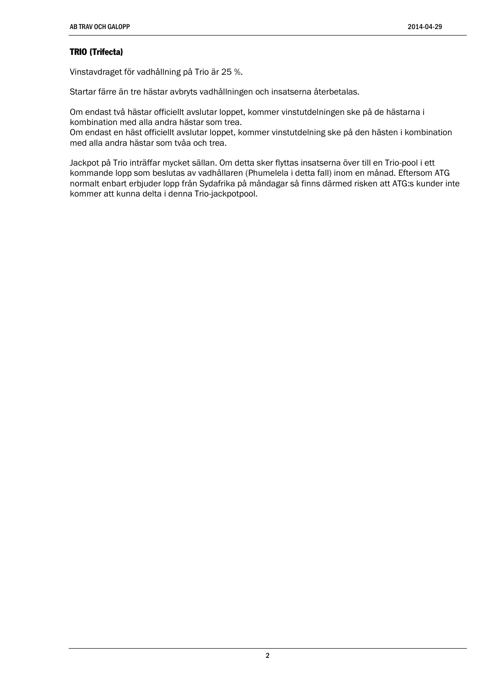# TRIO (Trifecta)

Vinstavdraget för vadhållning på Trio är 25 %.

Startar färre än tre hästar avbryts vadhållningen och insatserna återbetalas.

Om endast två hästar officiellt avslutar loppet, kommer vinstutdelningen ske på de hästarna i kombination med alla andra hästar som trea.

Om endast en häst officiellt avslutar loppet, kommer vinstutdelning ske på den hästen i kombination med alla andra hästar som tvåa och trea.

Jackpot på Trio inträffar mycket sällan. Om detta sker flyttas insatserna över till en Trio-pool i ett kommande lopp som beslutas av vadhållaren (Phumelela i detta fall) inom en månad. Eftersom ATG normalt enbart erbjuder lopp från Sydafrika på måndagar så finns därmed risken att ATG:s kunder inte kommer att kunna delta i denna Trio-jackpotpool.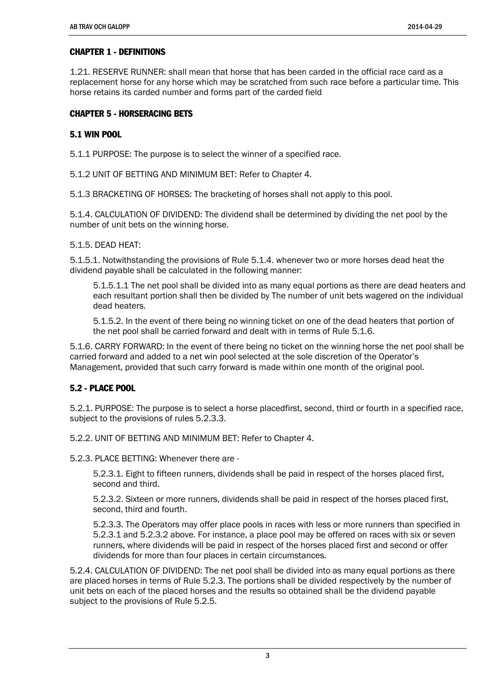# CHAPTER 1 - DEFINITIONS

1.21. RESERVE RUNNER: shall mean that horse that has been carded in the official race card as a replacement horse for any horse which may be scratched from such race before a particular time. This horse retains its carded number and forms part of the carded field

# CHAPTER 5 - HORSERACING BETS

## 5.1 WIN POOL

5.1.1 PURPOSE: The purpose is to select the winner of a specified race.

5.1.2 UNIT OF BETTING AND MINIMUM BET: Refer to Chapter 4.

5.1.3 BRACKETING OF HORSES: The bracketing of horses shall not apply to this pool.

5.1.4. CALCULATION OF DIVIDEND: The dividend shall be determined by dividing the net pool by the number of unit bets on the winning horse.

#### 5.1.5. DEAD HEAT:

5.1.5.1. Notwithstanding the provisions of Rule 5.1.4. whenever two or more horses dead heat the dividend payable shall be calculated in the following manner:

5.1.5.1.1 The net pool shall be divided into as many equal portions as there are dead heaters and each resultant portion shall then be divided by The number of unit bets wagered on the individual dead heaters.

5.1.5.2. In the event of there being no winning ticket on one of the dead heaters that portion of the net pool shall be carried forward and dealt with in terms of Rule 5.1.6.

5.1.6. CARRY FORWARD: In the event of there being no ticket on the winning horse the net pool shall be carried forward and added to a net win pool selected at the sole discretion of the Operator's Management, provided that such carry forward is made within one month of the original pool.

# 5.2 - PLACE POOL

5.2.1. PURPOSE: The purpose is to select a horse placedfirst, second, third or fourth in a specified race, subject to the provisions of rules 5.2.3.3.

5.2.2. UNIT OF BETTING AND MINIMUM BET: Refer to Chapter 4.

5.2.3. PLACE BETTING: Whenever there are -

5.2.3.1. Eight to fifteen runners, dividends shall be paid in respect of the horses placed first, second and third.

5.2.3.2. Sixteen or more runners, dividends shall be paid in respect of the horses placed first, second, third and fourth.

5.2.3.3. The Operators may offer place pools in races with less or more runners than specified in 5.2.3.1 and 5.2.3.2 above. For instance, a place pool may be offered on races with six or seven runners, where dividends will be paid in respect of the horses placed first and second or offer dividends for more than four places in certain circumstances.

5.2.4. CALCULATION OF DIVIDEND: The net pool shall be divided into as many equal portions as there are placed horses in terms of Rule 5.2.3. The portions shall be divided respectively by the number of unit bets on each of the placed horses and the results so obtained shall be the dividend payable subject to the provisions of Rule 5.2.5.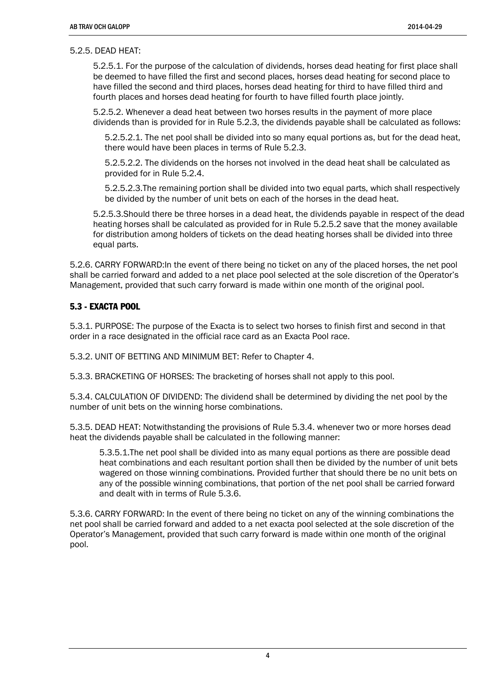#### 5.2.5. DEAD HEAT:

5.2.5.1. For the purpose of the calculation of dividends, horses dead heating for first place shall be deemed to have filled the first and second places, horses dead heating for second place to have filled the second and third places, horses dead heating for third to have filled third and fourth places and horses dead heating for fourth to have filled fourth place jointly.

5.2.5.2. Whenever a dead heat between two horses results in the payment of more place dividends than is provided for in Rule 5.2.3, the dividends payable shall be calculated as follows:

5.2.5.2.1. The net pool shall be divided into so many equal portions as, but for the dead heat, there would have been places in terms of Rule 5.2.3.

5.2.5.2.2. The dividends on the horses not involved in the dead heat shall be calculated as provided for in Rule 5.2.4.

5.2.5.2.3.The remaining portion shall be divided into two equal parts, which shall respectively be divided by the number of unit bets on each of the horses in the dead heat.

5.2.5.3.Should there be three horses in a dead heat, the dividends payable in respect of the dead heating horses shall be calculated as provided for in Rule 5.2.5.2 save that the money available for distribution among holders of tickets on the dead heating horses shall be divided into three equal parts.

5.2.6. CARRY FORWARD:In the event of there being no ticket on any of the placed horses, the net pool shall be carried forward and added to a net place pool selected at the sole discretion of the Operator's Management, provided that such carry forward is made within one month of the original pool.

### 5.3 - EXACTA POOL

5.3.1. PURPOSE: The purpose of the Exacta is to select two horses to finish first and second in that order in a race designated in the official race card as an Exacta Pool race.

5.3.2. UNIT OF BETTING AND MINIMUM BET: Refer to Chapter 4.

5.3.3. BRACKETING OF HORSES: The bracketing of horses shall not apply to this pool.

5.3.4. CALCULATION OF DIVIDEND: The dividend shall be determined by dividing the net pool by the number of unit bets on the winning horse combinations.

5.3.5. DEAD HEAT: Notwithstanding the provisions of Rule 5.3.4. whenever two or more horses dead heat the dividends payable shall be calculated in the following manner:

5.3.5.1.The net pool shall be divided into as many equal portions as there are possible dead heat combinations and each resultant portion shall then be divided by the number of unit bets wagered on those winning combinations. Provided further that should there be no unit bets on any of the possible winning combinations, that portion of the net pool shall be carried forward and dealt with in terms of Rule 5.3.6.

5.3.6. CARRY FORWARD: In the event of there being no ticket on any of the winning combinations the net pool shall be carried forward and added to a net exacta pool selected at the sole discretion of the Operator's Management, provided that such carry forward is made within one month of the original pool.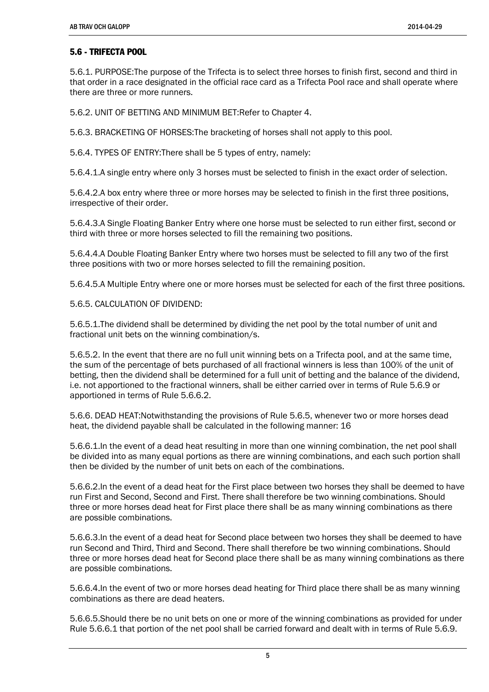### 5.6 - TRIFECTA POOL

5.6.1. PURPOSE:The purpose of the Trifecta is to select three horses to finish first, second and third in that order in a race designated in the official race card as a Trifecta Pool race and shall operate where there are three or more runners.

5.6.2. UNIT OF BETTING AND MINIMUM BET:Refer to Chapter 4.

5.6.3. BRACKETING OF HORSES:The bracketing of horses shall not apply to this pool.

5.6.4. TYPES OF ENTRY:There shall be 5 types of entry, namely:

5.6.4.1.A single entry where only 3 horses must be selected to finish in the exact order of selection.

5.6.4.2.A box entry where three or more horses may be selected to finish in the first three positions, irrespective of their order.

5.6.4.3.A Single Floating Banker Entry where one horse must be selected to run either first, second or third with three or more horses selected to fill the remaining two positions.

5.6.4.4.A Double Floating Banker Entry where two horses must be selected to fill any two of the first three positions with two or more horses selected to fill the remaining position.

5.6.4.5.A Multiple Entry where one or more horses must be selected for each of the first three positions.

5.6.5. CALCULATION OF DIVIDEND:

5.6.5.1.The dividend shall be determined by dividing the net pool by the total number of unit and fractional unit bets on the winning combination/s.

5.6.5.2. In the event that there are no full unit winning bets on a Trifecta pool, and at the same time, the sum of the percentage of bets purchased of all fractional winners is less than 100% of the unit of betting, then the dividend shall be determined for a full unit of betting and the balance of the dividend, i.e. not apportioned to the fractional winners, shall be either carried over in terms of Rule 5.6.9 or apportioned in terms of Rule 5.6.6.2.

5.6.6. DEAD HEAT:Notwithstanding the provisions of Rule 5.6.5, whenever two or more horses dead heat, the dividend payable shall be calculated in the following manner: 16

5.6.6.1.In the event of a dead heat resulting in more than one winning combination, the net pool shall be divided into as many equal portions as there are winning combinations, and each such portion shall then be divided by the number of unit bets on each of the combinations.

5.6.6.2.In the event of a dead heat for the First place between two horses they shall be deemed to have run First and Second, Second and First. There shall therefore be two winning combinations. Should three or more horses dead heat for First place there shall be as many winning combinations as there are possible combinations.

5.6.6.3.In the event of a dead heat for Second place between two horses they shall be deemed to have run Second and Third, Third and Second. There shall therefore be two winning combinations. Should three or more horses dead heat for Second place there shall be as many winning combinations as there are possible combinations.

5.6.6.4.In the event of two or more horses dead heating for Third place there shall be as many winning combinations as there are dead heaters.

5.6.6.5.Should there be no unit bets on one or more of the winning combinations as provided for under Rule 5.6.6.1 that portion of the net pool shall be carried forward and dealt with in terms of Rule 5.6.9.